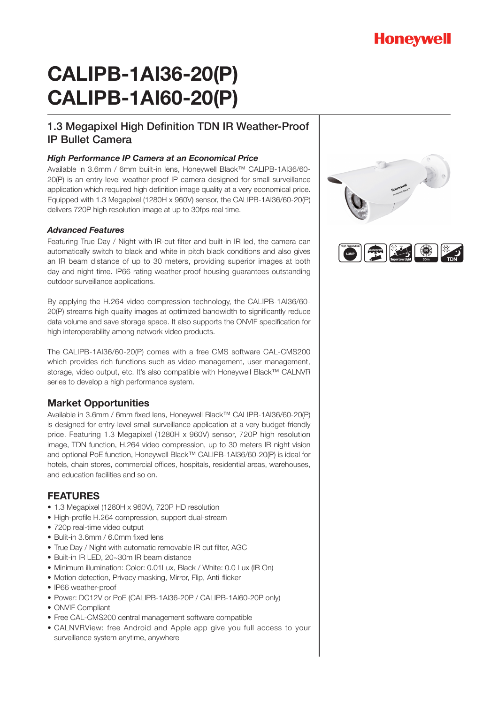# **Honeywell**

# **CALIPB-1AI36-20(P) CALIPB-1AI60-20(P)**

## 1.3 Megapixel High Definition TDN IR Weather-Proof IP Bullet Camera

#### *High Performance IP Camera at an Economical Price*

Available in 3.6mm / 6mm built-in lens, Honeywell Black™ CALIPB-1AI36/60- 20(P) is an entry-level weather-proof IP camera designed for small surveillance application which required high definition image quality at a very economical price. Equipped with 1.3 Megapixel (1280H x 960V) sensor, the CALIPB-1AI36/60-20(P) delivers 720P high resolution image at up to 30fps real time.

#### *Advanced Features*

Featuring True Day / Night with IR-cut filter and built-in IR led, the camera can automatically switch to black and white in pitch black conditions and also gives an IR beam distance of up to 30 meters, providing superior images at both day and night time. IP66 rating weather-proof housing guarantees outstanding outdoor surveillance applications.

By applying the H.264 video compression technology, the CALIPB-1AI36/60- 20(P) streams high quality images at optimized bandwidth to significantly reduce data volume and save storage space. It also supports the ONVIF specification for high interoperability among network video products.

The CALIPB-1AI36/60-20(P) comes with a free CMS software CAL-CMS200 which provides rich functions such as video management, user management, storage, video output, etc. It's also compatible with Honeywell Black™ CALNVR series to develop a high performance system.

### **Market Opportunities**

Available in 3.6mm / 6mm fixed lens, Honeywell Black™ CALIPB-1AI36/60-20(P) is designed for entry-level small surveillance application at a very budget-friendly price. Featuring 1.3 Megapixel (1280H x 960V) sensor, 720P high resolution image, TDN function, H.264 video compression, up to 30 meters IR night vision and optional PoE function, Honeywell Black™ CALIPB-1AI36/60-20(P) is ideal for hotels, chain stores, commercial offices, hospitals, residential areas, warehouses, and education facilities and so on.

#### **FEATURES**

- 1.3 Megapixel (1280H x 960V), 720P HD resolution
- High-profile H.264 compression, support dual-stream
- 720p real-time video output
- Bulit-in 3.6mm / 6.0mm fixed lens
- True Day / Night with automatic removable IR cut filter, AGC
- Built-in IR LED, 20~30m IR beam distance
- Minimum illumination: Color: 0.01Lux, Black / White: 0.0 Lux (IR On)
- Motion detection, Privacy masking, Mirror, Flip, Anti-flicker
- IP66 weather-proof
- Power: DC12V or PoE (CALIPB-1AI36-20P / CALIPB-1AI60-20P only)
- ONVIF Compliant
- Free CAL-CMS200 central management software compatible
- CALNVRView: free Android and Apple app give you full access to your surveillance system anytime, anywhere

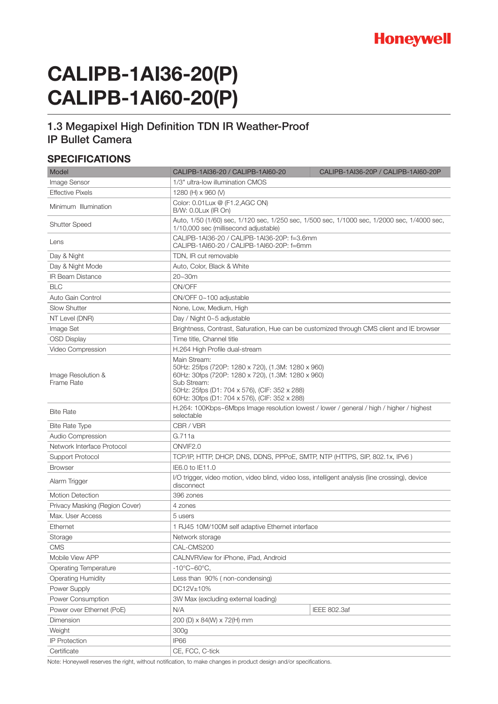

# **CALIPB-1AI36-20(P) CALIPB-1AI60-20(P)**

### 1.3 Megapixel High Definition TDN IR Weather-Proof IP Bullet Camera

#### **SPECIFICATIONS**

| Model                                   | CALIPB-1AI36-20 / CALIPB-1AI60-20                                                                                                                                                                                                         | CALIPB-1AI36-20P / CALIPB-1AI60-20P |
|-----------------------------------------|-------------------------------------------------------------------------------------------------------------------------------------------------------------------------------------------------------------------------------------------|-------------------------------------|
| Image Sensor                            | 1/3" ultra-low illumination CMOS                                                                                                                                                                                                          |                                     |
| <b>Effective Pixels</b>                 | 1280 (H) x 960 (V)                                                                                                                                                                                                                        |                                     |
| Minimum Illumination                    | Color: 0.01 Lux @ (F1.2, AGC ON)<br>B/W: 0.0Lux (IR On)                                                                                                                                                                                   |                                     |
| <b>Shutter Speed</b>                    | Auto, 1/50 (1/60) sec, 1/120 sec, 1/250 sec, 1/500 sec, 1/1000 sec, 1/2000 sec, 1/4000 sec,<br>1/10,000 sec (millisecond adjustable)                                                                                                      |                                     |
| Lens                                    | CALIPB-1Al36-20 / CALIPB-1Al36-20P: f=3.6mm<br>CALIPB-1AI60-20 / CALIPB-1AI60-20P: f=6mm                                                                                                                                                  |                                     |
| Day & Night                             | TDN, IR cut removable                                                                                                                                                                                                                     |                                     |
| Day & Night Mode                        | Auto, Color, Black & White                                                                                                                                                                                                                |                                     |
| <b>IR Beam Distance</b>                 | $20 - 30m$                                                                                                                                                                                                                                |                                     |
| <b>BLC</b>                              | ON/OFF                                                                                                                                                                                                                                    |                                     |
| Auto Gain Control                       | ON/OFF 0~100 adjustable                                                                                                                                                                                                                   |                                     |
| <b>Slow Shutter</b>                     | None, Low, Medium, High                                                                                                                                                                                                                   |                                     |
| NT Level (DNR)                          | Day / Night 0~5 adjustable                                                                                                                                                                                                                |                                     |
| Image Set                               | Brightness, Contrast, Saturation, Hue can be customized through CMS client and IE browser                                                                                                                                                 |                                     |
| <b>OSD Display</b>                      | Time title, Channel title                                                                                                                                                                                                                 |                                     |
| Video Compression                       | H.264 High Profile dual-stream                                                                                                                                                                                                            |                                     |
| Image Resolution &<br><b>Frame Rate</b> | Main Stream:<br>50Hz: 25fps (720P: 1280 x 720), (1.3M: 1280 x 960)<br>60Hz: 30fps (720P: 1280 x 720), (1.3M: 1280 x 960)<br>Sub Stream:<br>50Hz: 25fps (D1: 704 x 576), (CIF: 352 x 288)<br>60Hz: 30fps (D1: 704 x 576), (CIF: 352 x 288) |                                     |
| <b>Bite Rate</b>                        | H.264: 100Kbps~6Mbps Image resolution lowest / lower / general / high / higher / highest<br>selectable                                                                                                                                    |                                     |
| <b>Bite Rate Type</b>                   | CBR / VBR                                                                                                                                                                                                                                 |                                     |
| Audio Compression                       | G.711a                                                                                                                                                                                                                                    |                                     |
| Network Interface Protocol              | ONVIF2.0                                                                                                                                                                                                                                  |                                     |
| Support Protocol                        | TCP/IP, HTTP, DHCP, DNS, DDNS, PPPoE, SMTP, NTP (HTTPS, SIP, 802.1x, IPv6)                                                                                                                                                                |                                     |
| <b>Browser</b>                          | IE6.0 to IE11.0                                                                                                                                                                                                                           |                                     |
| Alarm Trigger                           | I/O trigger, video motion, video blind, video loss, intelligent analysis (line crossing), device<br>disconnect                                                                                                                            |                                     |
| <b>Motion Detection</b>                 | 396 zones                                                                                                                                                                                                                                 |                                     |
| Privacy Masking (Region Cover)          | 4 zones                                                                                                                                                                                                                                   |                                     |
| Max. User Access                        | 5 users                                                                                                                                                                                                                                   |                                     |
| Ethernet                                | 1 RJ45 10M/100M self adaptive Ethernet interface                                                                                                                                                                                          |                                     |
| Storage                                 | Network storage                                                                                                                                                                                                                           |                                     |
| <b>CMS</b>                              | CAL-CMS200                                                                                                                                                                                                                                |                                     |
| Mobile View APP                         | CALNVRView for iPhone, iPad, Android                                                                                                                                                                                                      |                                     |
| <b>Operating Temperature</b>            | $-10^{\circ}$ C $\sim$ 60 $^{\circ}$ C,                                                                                                                                                                                                   |                                     |
| <b>Operating Humidity</b>               | Less than 90% (non-condensing)                                                                                                                                                                                                            |                                     |
| Power Supply                            | DC12V±10%                                                                                                                                                                                                                                 |                                     |
| Power Consumption                       | 3W Max (excluding external loading)                                                                                                                                                                                                       |                                     |
| Power over Ethernet (PoE)               | N/A                                                                                                                                                                                                                                       | <b>IEEE 802.3af</b>                 |
| Dimension                               | 200 (D) x 84(W) x 72(H) mm                                                                                                                                                                                                                |                                     |
| Weight                                  | 300g                                                                                                                                                                                                                                      |                                     |
| <b>IP Protection</b>                    | <b>IP66</b>                                                                                                                                                                                                                               |                                     |
| Certificate                             | CE, FCC, C-tick                                                                                                                                                                                                                           |                                     |

Note: Honeywell reserves the right, without notification, to make changes in product design and/or specifications.